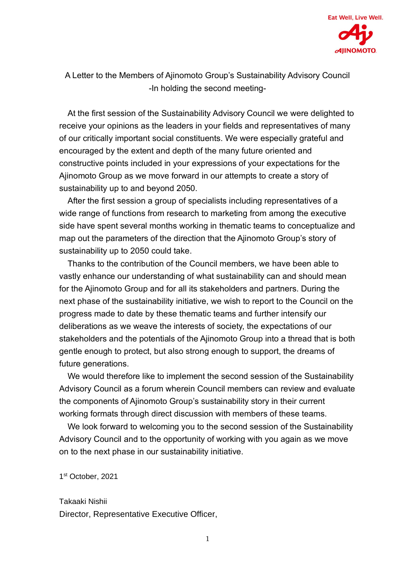

A Letter to the Members of Ajinomoto Group's Sustainability Advisory Council -In holding the second meeting-

At the first session of the Sustainability Advisory Council we were delighted to receive your opinions as the leaders in your fields and representatives of many of our critically important social constituents. We were especially grateful and encouraged by the extent and depth of the many future oriented and constructive points included in your expressions of your expectations for the Ajinomoto Group as we move forward in our attempts to create a story of sustainability up to and beyond 2050.

After the first session a group of specialists including representatives of a wide range of functions from research to marketing from among the executive side have spent several months working in thematic teams to conceptualize and map out the parameters of the direction that the Ajinomoto Group's story of sustainability up to 2050 could take.

Thanks to the contribution of the Council members, we have been able to vastly enhance our understanding of what sustainability can and should mean for the Ajinomoto Group and for all its stakeholders and partners. During the next phase of the sustainability initiative, we wish to report to the Council on the progress made to date by these thematic teams and further intensify our deliberations as we weave the interests of society, the expectations of our stakeholders and the potentials of the Ajinomoto Group into a thread that is both gentle enough to protect, but also strong enough to support, the dreams of future generations.

We would therefore like to implement the second session of the Sustainability Advisory Council as a forum wherein Council members can review and evaluate the components of Ajinomoto Group's sustainability story in their current working formats through direct discussion with members of these teams.

We look forward to welcoming you to the second session of the Sustainability Advisory Council and to the opportunity of working with you again as we move on to the next phase in our sustainability initiative.

1 st October, 2021

Takaaki Nishii Director, Representative Executive Officer,